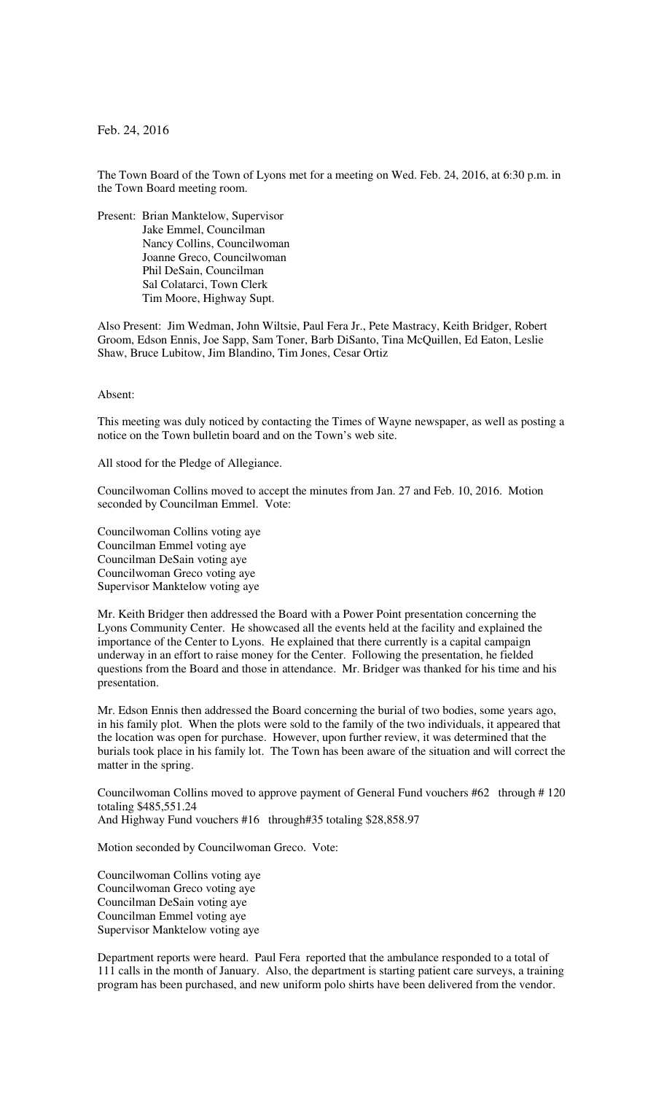Feb. 24, 2016

The Town Board of the Town of Lyons met for a meeting on Wed. Feb. 24, 2016, at 6:30 p.m. in the Town Board meeting room.

Present: Brian Manktelow, Supervisor Jake Emmel, Councilman Nancy Collins, Councilwoman Joanne Greco, Councilwoman Phil DeSain, Councilman Sal Colatarci, Town Clerk Tim Moore, Highway Supt.

Also Present: Jim Wedman, John Wiltsie, Paul Fera Jr., Pete Mastracy, Keith Bridger, Robert Groom, Edson Ennis, Joe Sapp, Sam Toner, Barb DiSanto, Tina McQuillen, Ed Eaton, Leslie Shaw, Bruce Lubitow, Jim Blandino, Tim Jones, Cesar Ortiz

## Absent:

This meeting was duly noticed by contacting the Times of Wayne newspaper, as well as posting a notice on the Town bulletin board and on the Town's web site.

All stood for the Pledge of Allegiance.

Councilwoman Collins moved to accept the minutes from Jan. 27 and Feb. 10, 2016. Motion seconded by Councilman Emmel. Vote:

Councilwoman Collins voting aye Councilman Emmel voting aye Councilman DeSain voting aye Councilwoman Greco voting aye Supervisor Manktelow voting aye

Mr. Keith Bridger then addressed the Board with a Power Point presentation concerning the Lyons Community Center. He showcased all the events held at the facility and explained the importance of the Center to Lyons. He explained that there currently is a capital campaign underway in an effort to raise money for the Center. Following the presentation, he fielded questions from the Board and those in attendance. Mr. Bridger was thanked for his time and his presentation.

Mr. Edson Ennis then addressed the Board concerning the burial of two bodies, some years ago, in his family plot. When the plots were sold to the family of the two individuals, it appeared that the location was open for purchase. However, upon further review, it was determined that the burials took place in his family lot. The Town has been aware of the situation and will correct the matter in the spring.

Councilwoman Collins moved to approve payment of General Fund vouchers #62 through # 120 totaling \$485,551.24 And Highway Fund vouchers #16 through#35 totaling \$28,858.97

Motion seconded by Councilwoman Greco. Vote:

Councilwoman Collins voting aye Councilwoman Greco voting aye Councilman DeSain voting aye Councilman Emmel voting aye Supervisor Manktelow voting aye

Department reports were heard. Paul Fera reported that the ambulance responded to a total of 111 calls in the month of January. Also, the department is starting patient care surveys, a training program has been purchased, and new uniform polo shirts have been delivered from the vendor.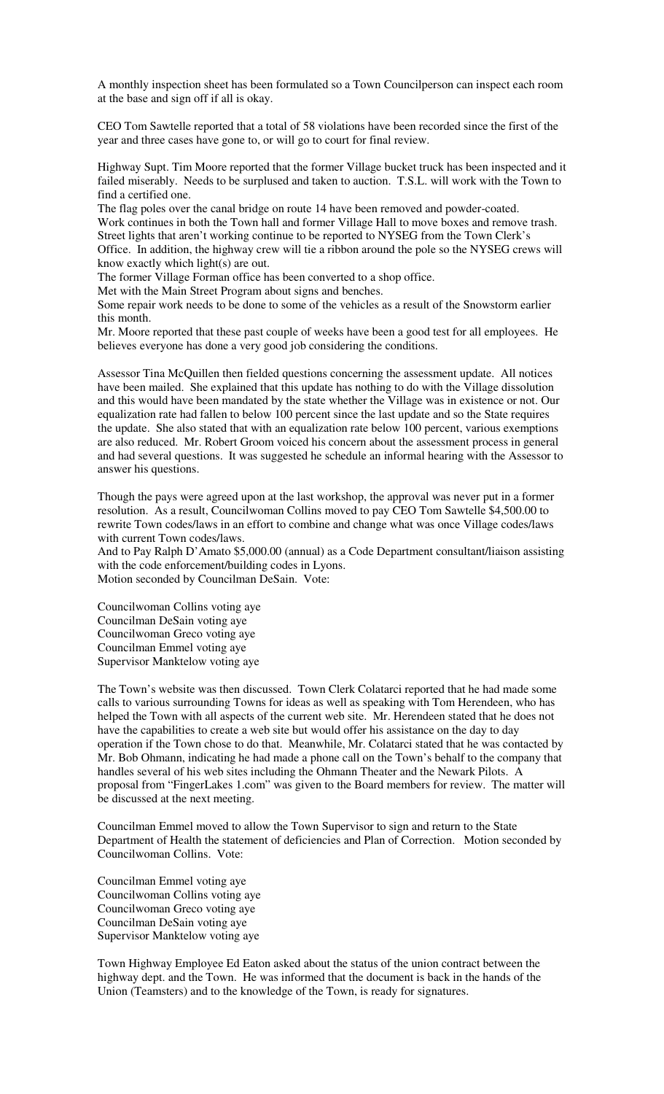A monthly inspection sheet has been formulated so a Town Councilperson can inspect each room at the base and sign off if all is okay.

CEO Tom Sawtelle reported that a total of 58 violations have been recorded since the first of the year and three cases have gone to, or will go to court for final review.

Highway Supt. Tim Moore reported that the former Village bucket truck has been inspected and it failed miserably. Needs to be surplused and taken to auction. T.S.L. will work with the Town to find a certified one.

The flag poles over the canal bridge on route 14 have been removed and powder-coated. Work continues in both the Town hall and former Village Hall to move boxes and remove trash. Street lights that aren't working continue to be reported to NYSEG from the Town Clerk's Office. In addition, the highway crew will tie a ribbon around the pole so the NYSEG crews will know exactly which light(s) are out.

The former Village Forman office has been converted to a shop office.

Met with the Main Street Program about signs and benches.

Some repair work needs to be done to some of the vehicles as a result of the Snowstorm earlier this month.

Mr. Moore reported that these past couple of weeks have been a good test for all employees. He believes everyone has done a very good job considering the conditions.

Assessor Tina McQuillen then fielded questions concerning the assessment update. All notices have been mailed. She explained that this update has nothing to do with the Village dissolution and this would have been mandated by the state whether the Village was in existence or not. Our equalization rate had fallen to below 100 percent since the last update and so the State requires the update. She also stated that with an equalization rate below 100 percent, various exemptions are also reduced. Mr. Robert Groom voiced his concern about the assessment process in general and had several questions. It was suggested he schedule an informal hearing with the Assessor to answer his questions.

Though the pays were agreed upon at the last workshop, the approval was never put in a former resolution. As a result, Councilwoman Collins moved to pay CEO Tom Sawtelle \$4,500.00 to rewrite Town codes/laws in an effort to combine and change what was once Village codes/laws with current Town codes/laws.

And to Pay Ralph D'Amato \$5,000.00 (annual) as a Code Department consultant/liaison assisting with the code enforcement/building codes in Lyons. Motion seconded by Councilman DeSain. Vote:

Councilwoman Collins voting aye Councilman DeSain voting aye Councilwoman Greco voting aye Councilman Emmel voting aye Supervisor Manktelow voting aye

The Town's website was then discussed. Town Clerk Colatarci reported that he had made some calls to various surrounding Towns for ideas as well as speaking with Tom Herendeen, who has helped the Town with all aspects of the current web site. Mr. Herendeen stated that he does not have the capabilities to create a web site but would offer his assistance on the day to day operation if the Town chose to do that. Meanwhile, Mr. Colatarci stated that he was contacted by Mr. Bob Ohmann, indicating he had made a phone call on the Town's behalf to the company that handles several of his web sites including the Ohmann Theater and the Newark Pilots. A proposal from "FingerLakes 1.com" was given to the Board members for review. The matter will be discussed at the next meeting.

Councilman Emmel moved to allow the Town Supervisor to sign and return to the State Department of Health the statement of deficiencies and Plan of Correction. Motion seconded by Councilwoman Collins. Vote:

Councilman Emmel voting aye Councilwoman Collins voting aye Councilwoman Greco voting aye Councilman DeSain voting aye Supervisor Manktelow voting aye

Town Highway Employee Ed Eaton asked about the status of the union contract between the highway dept. and the Town. He was informed that the document is back in the hands of the Union (Teamsters) and to the knowledge of the Town, is ready for signatures.